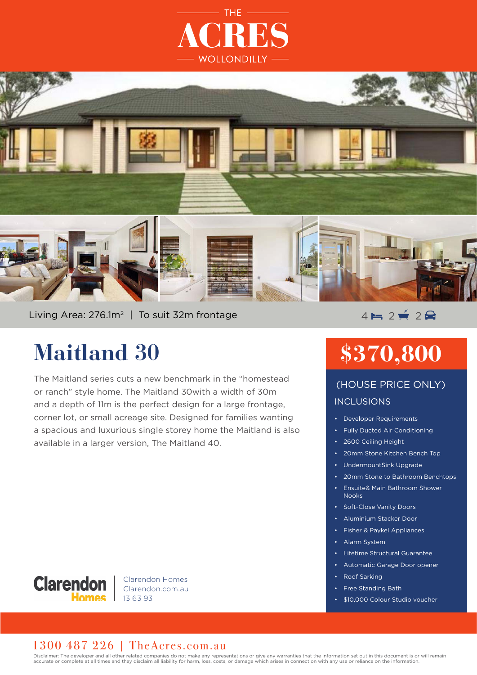



Living Area: 276.1m<sup>2</sup> | To suit 32m frontage  $4 \mapsto 2 \neq 2 \neq 2$ 

## **Maitland 30**

The Maitland series cuts a new benchmark in the "homestead or ranch" style home. The Maitland 30with a width of 30m and a depth of 11m is the perfect design for a large frontage, corner lot, or small acreage site. Designed for families wanting a spacious and luxurious single storey home the Maitland is also available in a larger version, The Maitland 40.

# **\$370,800**

## INCLUSIONS (HOUSE PRICE ONLY)

- Developer Requirements
- Fully Ducted Air Conditioning
- 2600 Ceiling Height
- 20mm Stone Kitchen Bench Top
- UndermountSink Upgrade
- 20mm Stone to Bathroom Benchtops
- Ensuite& Main Bathroom Shower Nooks
- Soft-Close Vanity Doors
- Aluminium Stacker Door
- Fisher & Paykel Appliances
- Alarm System
- Lifetime Structural Guarantee
- Automatic Garage Door opener
- Roof Sarking
- **Free Standing Bath**
- \$10,000 Colour Studio voucher



Clarendon Homes Clarendon.com.au 13 63 93

#### 1300 487 226 | TheAcres.com.au

Disclaimer: The developer and all other related companies do not make any representations or give any warranties that the information set out in this document is or will remain accurate or complete at all times and they disclaim all liability for harm, loss, costs, or damage which arises in connection with any use or reliance on the information.